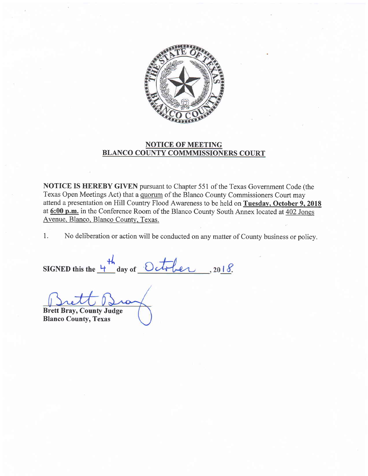

## NOTICE OF MEETING BLANCO COUNTY COMMMISSIONERS COURT

NOTICE IS HEREBY GIVEN pursuant to Chapter 551 of the Texas Government Code (the Texas Open Meetings Act) that a quorum of the Blanco County Commissioners Court may attend a presentation on Hill Country Flood Awareness to be held on Tuesdav, October 9, 2018 at 6:00 p.m. in the Conference Room of the Blanco County South Annex located at 402 Jones Avenue. Blanco. Blanco County. Texas.

1. No deliberation or action will be conducted on any matter of County business or policy.

SIGNED this the  $\frac{1}{1}$  day of  $\mathcal{H}_{\mathsf{h}}$ 

Brett Bray, County Judge

Blanco County, Texas